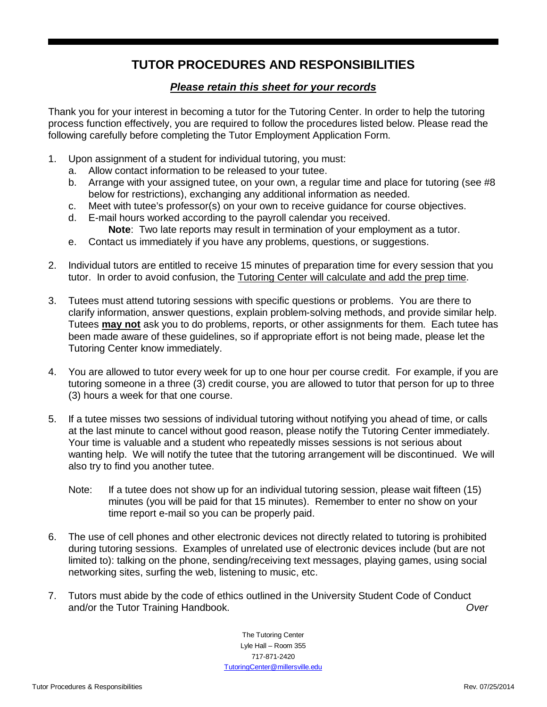## **TUTOR PROCEDURES AND RESPONSIBILITIES**

## *Please retain this sheet for your records*

Thank you for your interest in becoming a tutor for the Tutoring Center. In order to help the tutoring process function effectively, you are required to follow the procedures listed below. Please read the following carefully before completing the Tutor Employment Application Form.

- 1. Upon assignment of a student for individual tutoring, you must:
	- a. Allow contact information to be released to your tutee.
	- b. Arrange with your assigned tutee, on your own, a regular time and place for tutoring (see #8 below for restrictions), exchanging any additional information as needed.
	- c. Meet with tutee's professor(s) on your own to receive guidance for course objectives.
	- d. E-mail hours worked according to the payroll calendar you received.
		- **Note**: Two late reports may result in termination of your employment as a tutor.
	- e. Contact us immediately if you have any problems, questions, or suggestions.
- 2. Individual tutors are entitled to receive 15 minutes of preparation time for every session that you tutor. In order to avoid confusion, the Tutoring Center will calculate and add the prep time.
- 3. Tutees must attend tutoring sessions with specific questions or problems. You are there to clarify information, answer questions, explain problem-solving methods, and provide similar help. Tutees **may not** ask you to do problems, reports, or other assignments for them. Each tutee has been made aware of these guidelines, so if appropriate effort is not being made, please let the Tutoring Center know immediately.
- 4. You are allowed to tutor every week for up to one hour per course credit. For example, if you are tutoring someone in a three (3) credit course, you are allowed to tutor that person for up to three (3) hours a week for that one course.
- 5. If a tutee misses two sessions of individual tutoring without notifying you ahead of time, or calls at the last minute to cancel without good reason, please notify the Tutoring Center immediately. Your time is valuable and a student who repeatedly misses sessions is not serious about wanting help. We will notify the tutee that the tutoring arrangement will be discontinued. We will also try to find you another tutee.
	- Note: If a tutee does not show up for an individual tutoring session, please wait fifteen (15) minutes (you will be paid for that 15 minutes). Remember to enter no show on your time report e-mail so you can be properly paid.
- 6. The use of cell phones and other electronic devices not directly related to tutoring is prohibited during tutoring sessions. Examples of unrelated use of electronic devices include (but are not limited to): talking on the phone, sending/receiving text messages, playing games, using social networking sites, surfing the web, listening to music, etc.
- 7. Tutors must abide by the code of ethics outlined in the University Student Code of Conduct and/or the Tutor Training Handbook. *Over*

The Tutoring Center Lyle Hall – Room 355 717-871-2420 [TutoringCenter@millersville.edu](mailto:TutoringCenter@millersville.edu)